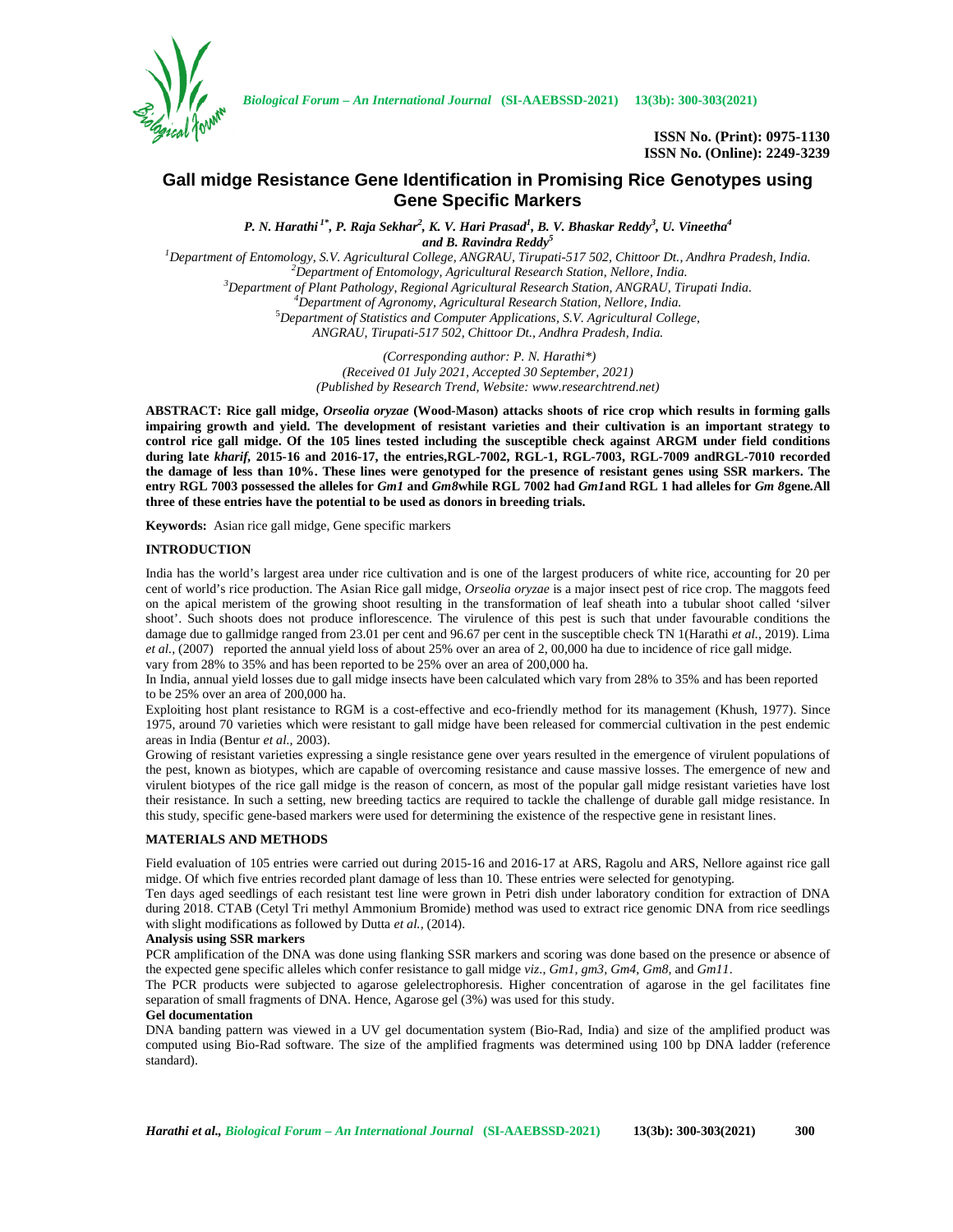

*Biological Forum – An International Journal* **(SI-AAEBSSD-2021) 13(3b): 300-303(2021)**

**ISSN No. (Print): 0975-1130 ISSN No. (Online): 2249-3239**

# **Gall midge Resistance Gene Identification in Promising Rice Genotypes using Gene Specific Markers**

*P. N. Harathi 1\*, P. Raja Sekhar<sup>2</sup> , K. V. Hari Prasad<sup>1</sup> , B. V. Bhaskar Reddy<sup>3</sup> , U. Vineetha<sup>4</sup>*

*and B. Ravindra Reddy<sup>5</sup>*

 $\footnotesize \begin{subarray}{l} \textit{1} \textit{Department of Entomology, S.V. Agricultural College, ANGRAU, Tirupati-517 502, Chittoor Dt., Andhra Pradesh, India.\\ \textit{2} \textit{3} \textit{2} \textit{1} \textit{2} \textit{3} \textit{3} \textit{3} \textit{3} \textit{4} \textit{4} \textit{5} \textit{5} \textit{6} \textit{7} \textit{7} \textit{6} \textit{7} \textit{7} \textit{7} \textit{7} \textit{7} \textit{8} \textit{9} \textit{7} \textit{8} \text$ *ANGRAU, Tirupati-517 502, Chittoor Dt., Andhra Pradesh, India.*

> *(Corresponding author: P. N. Harathi\*) (Received 01 July 2021, Accepted 30 September, 2021) (Published by Research Trend, Website: <www.researchtrend.net>)*

**ABSTRACT: Rice gall midge,** *Orseolia oryzae* **(Wood-Mason) attacks shoots of rice crop which results in forming galls impairing growth and yield. The development of resistant varieties and their cultivation is an important strategy to control rice gall midge. Of the 105 lines tested including the susceptible check against ARGM under field conditions during late** *kharif,* **2015-16 and 2016-17, the entries,RGL-7002, RGL-1, RGL-7003, RGL-7009 andRGL-7010 recorded the damage of less than 10%. These lines were genotyped for the presence of resistant genes using SSR markers. The entry RGL 7003 possessed the alleles for** *Gm1* **and** *Gm8***while RGL 7002 had** *Gm1***and RGL 1 had alleles for** *Gm 8***gene***.***All three of these entries have the potential to be used as donors in breeding trials.**

**Keywords:** Asian rice gall midge, Gene specific markers

# **INTRODUCTION**

India has the world's largest area under rice cultivation and is one of the largest producers of white rice, accounting for 20 per cent of world's rice production. The Asian Rice gall midge, *Orseolia oryzae* is a major insect pest of rice crop. The maggots feed on the apical meristem of the growing shoot resulting in the transformation of leaf sheath into a tubular shoot called 'silver shoot'. Such shoots does not produce inflorescence. The virulence of this pest is such that under favourable conditions the damage due to gallmidge ranged from 23.01 per cent and 96.67 per cent in the susceptible check TN 1(Harathi *et al.,* 2019). Lima *et al.,* (2007) reported the annual yield loss of about 25% over an area of 2, 00,000 ha due to incidence of rice gall midge. vary from 28% to 35% and has been reported to be 25% over an area of 200,000 ha.

In India, annual yield losses due to gall midge insects have been calculated which vary from 28% to 35% and has been reported to be 25% over an area of 200,000 ha.

Exploiting host plant resistance to RGM is a cost-effective and eco-friendly method for its management (Khush, 1977). Since 1975, around 70 varieties which were resistant to gall midge have been released for commercial cultivation in the pest endemic areas in India (Bentur *et al.,* 2003).

Growing of resistant varieties expressing a single resistance gene over years resulted in the emergence of virulent populations of the pest, known as biotypes, which are capable of overcoming resistance and cause massive losses. The emergence of new and virulent biotypes of the rice gall midge is the reason of concern, as most of the popular gall midge resistant varieties have lost their resistance. In such a setting, new breeding tactics are required to tackle the challenge of durable gall midge resistance. In this study, specific gene-based markers were used for determining the existence of the respective gene in resistant lines.

# **MATERIALS AND METHODS**

Field evaluation of 105 entries were carried out during 2015-16 and 2016-17 at ARS, Ragolu and ARS, Nellore against rice gall midge. Of which five entries recorded plant damage of less than 10. These entries were selected for genotyping.

Ten days aged seedlings of each resistant test line were grown in Petri dish under laboratory condition for extraction of DNA during 2018. CTAB (Cetyl Tri methyl Ammonium Bromide) method was used to extract rice genomic DNA from rice seedlings with slight modifications as followed by Dutta *et al.,* (2014).

# **Analysis using SSR markers**

PCR amplification of the DNA was done using flanking SSR markers and scoring was done based on the presence or absence of the expected gene specific alleles which confer resistance to gall midge *viz*., *Gm1, gm3, Gm4, Gm8,* and *Gm11*.

The PCR products were subjected to agarose gelelectrophoresis. Higher concentration of agarose in the gel facilitates fine separation of small fragments of DNA. Hence, Agarose gel (3%) was used for this study.

#### **Gel documentation**

DNA banding pattern was viewed in a UV gel documentation system (Bio-Rad, India) and size of the amplified product was computed using Bio-Rad software. The size of the amplified fragments was determined using 100 bp DNA ladder (reference standard).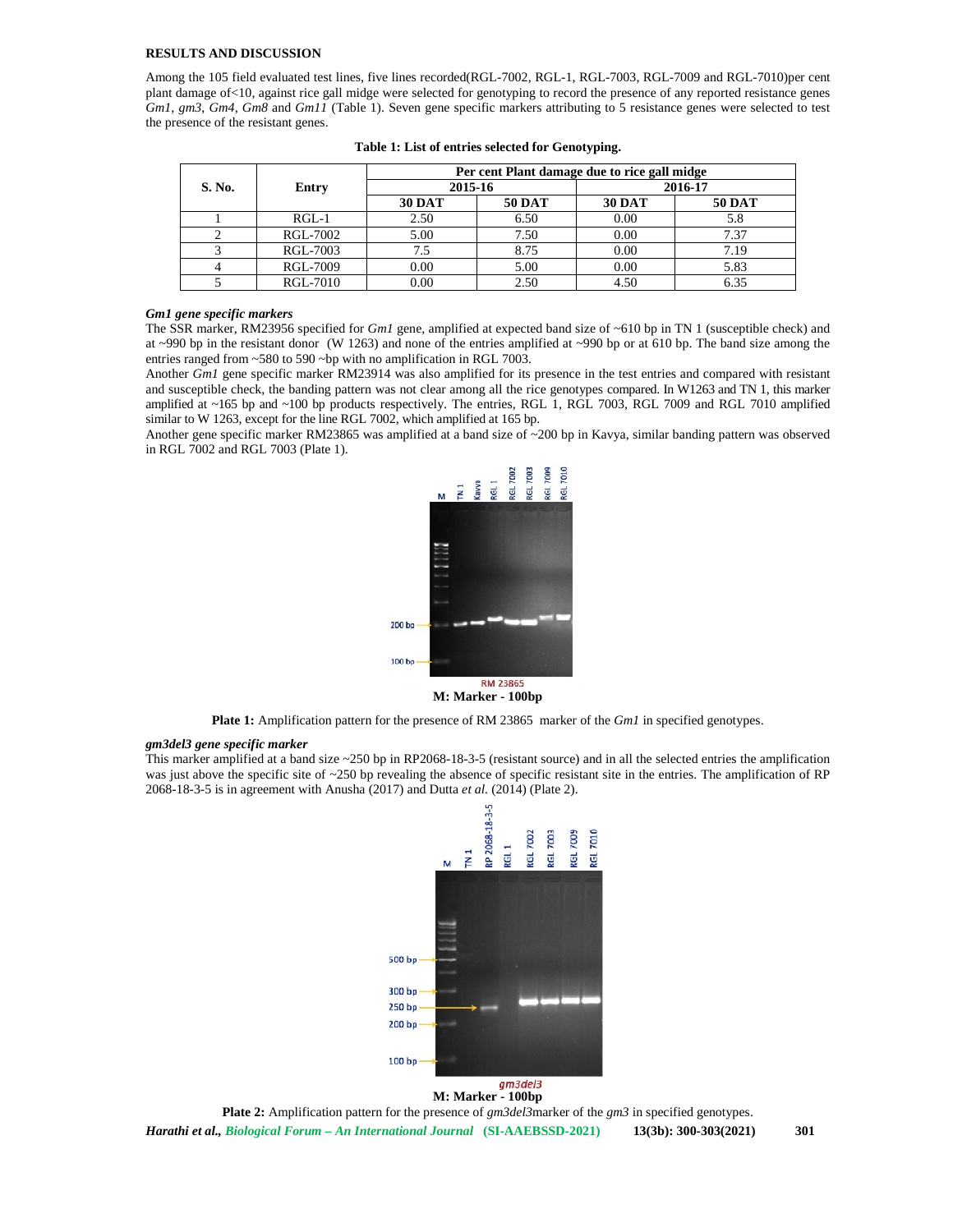## **RESULTS AND DISCUSSION**

Among the 105 field evaluated test lines, five lines recorded(RGL-7002, RGL-1, RGL-7003, RGL-7009 and RGL-7010)per cent plant damage of<10, against rice gall midge were selected for genotyping to record the presence of any reported resistance genes *Gm1*, *gm3*, *Gm4*, *Gm8* and *Gm11* (Table 1). Seven gene specific markers attributing to 5 resistance genes were selected to test the presence of the resistant genes.

| S. No. | Entry    | Per cent Plant damage due to rice gall midge |               |               |               |
|--------|----------|----------------------------------------------|---------------|---------------|---------------|
|        |          | 2015-16                                      |               | 2016-17       |               |
|        |          | <b>30 DAT</b>                                | <b>50 DAT</b> | <b>30 DAT</b> | <b>50 DAT</b> |
|        | $RGL-1$  | 2.50                                         | 6.50          | 0.00          | 5.8           |
|        | RGL-7002 | 5.00                                         | 7.50          | 0.00          | 7.37          |
|        | RGL-7003 | 7.5                                          | 8.75          | 0.00          | 7.19          |
|        | RGL-7009 | 0.00                                         | 5.00          | 0.00          | 5.83          |
|        | RGL-7010 | 0.00                                         | 2.50          | 4.50          | 6.35          |

#### *Gm1 gene specific markers*

The SSR marker, RM23956 specified for *Gm1* gene, amplified at expected band size of ~610 bp in TN 1 (susceptible check) and at  $\sim$ 990 bp in the resistant donor (W 1263) and none of the entries amplified at  $\sim$ 990 bp or at 610 bp. The band size among the entries ranged from ~580 to 590 ~bp with no amplification in RGL 7003.

Another *Gm1* gene specific marker RM23914 was also amplified for its presence in the test entries and compared with resistant and susceptible check, the banding pattern was not clear among all the rice genotypes compared. In W1263 and TN 1, this marker amplified at ~165 bp and ~100 bp products respectively. The entries, RGL 1, RGL 7003, RGL 7009 and RGL 7010 amplified similar to W 1263, except for the line RGL 7002, which amplified at 165 bp.

Another gene specific marker RM23865 was amplified at a band size of ~200 bp in Kavya, similar banding pattern was observed in RGL 7002 and RGL 7003 (Plate 1).



**M: Marker - 100bp**

**Plate 1:** Amplification pattern for the presence of RM 23865 marker of the *Gm1* in specified genotypes.

### *gm3del3 gene specific marker*

This marker amplified at a band size ~250 bp in RP2068-18-3-5 (resistant source) and in all the selected entries the amplification was just above the specific site of ~250 bp revealing the absence of specific resistant site in the entries. The amplification of RP 2068-18-3-5 is in agreement with Anusha (2017) and Dutta *et al.* (2014) (Plate 2).



**M: Marker - 100bp**

**Plate 2:** Amplification pattern for the presence of *gm3del3*marker of the *gm3* in specified genotypes.

*Harathi et al., Biological Forum – An International Journal* **(SI-AAEBSSD-2021) 13(3b): 300-303(2021) 301**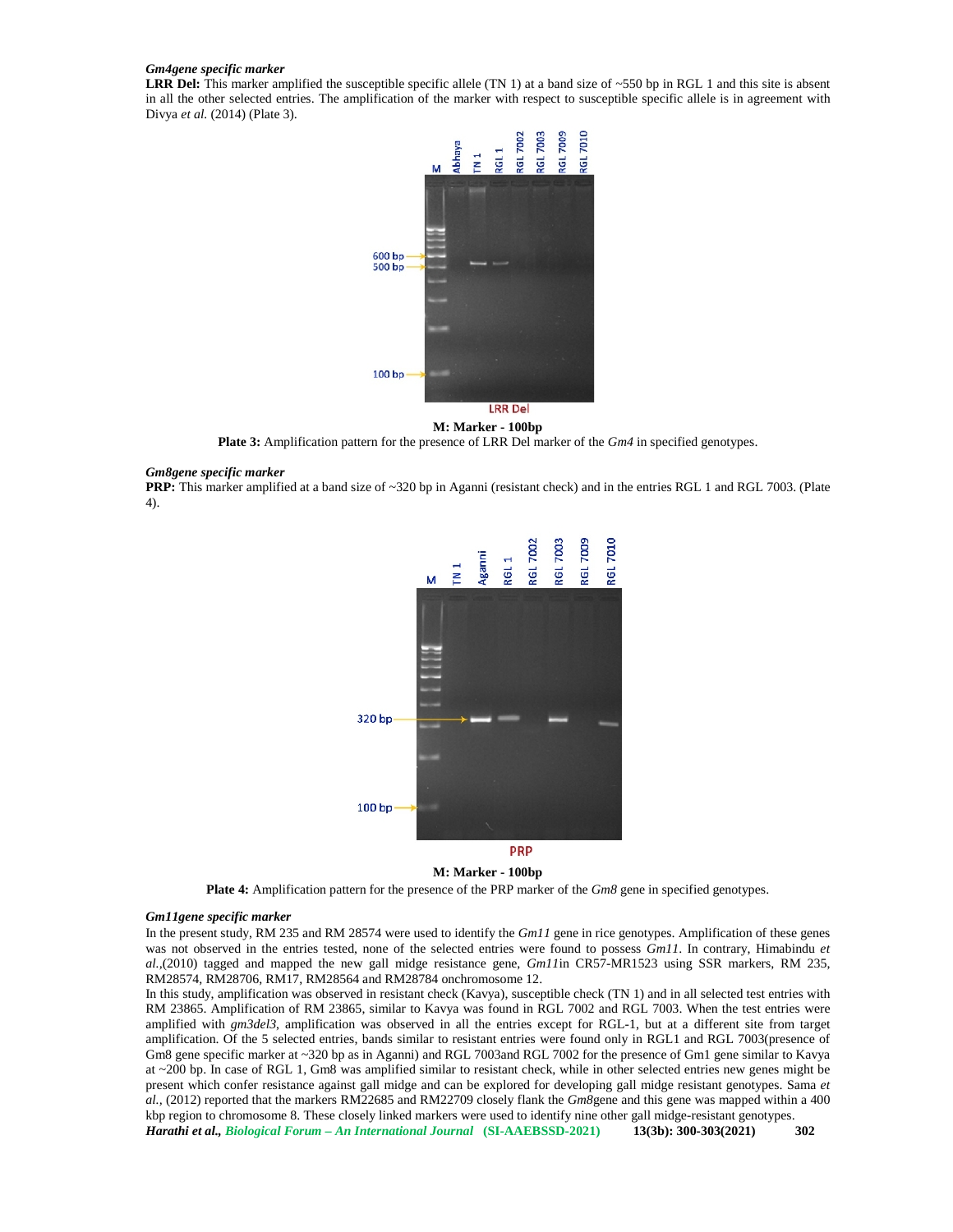#### *Gm4gene specific marker*

LRR Del: This marker amplified the susceptible specific allele (TN 1) at a band size of ~550 bp in RGL 1 and this site is absent in all the other selected entries. The amplification of the marker with respect to susceptible specific allele is in agreement with Divya *et al.* (2014) (Plate 3).



# **M: Marker - 100bp**

**Plate 3:** Amplification pattern for the presence of LRR Del marker of the *Gm4* in specified genotypes.

#### *Gm8gene specific marker*

**PRP:** This marker amplified at a band size of ~320 bp in Aganni (resistant check) and in the entries RGL 1 and RGL 7003. (Plate 4).



# **M: Marker - 100bp**

**Plate 4:** Amplification pattern for the presence of the PRP marker of the *Gm8* gene in specified genotypes.

# *Gm11gene specific marker*

In the present study, RM 235 and RM 28574 were used to identify the *Gm11* gene in rice genotypes. Amplification of these genes was not observed in the entries tested, none of the selected entries were found to possess *Gm11*. In contrary, Himabindu *et al.,*(2010) tagged and mapped the new gall midge resistance gene, *Gm11*in CR57-MR1523 using SSR markers, RM 235, RM28574, RM28706, RM17, RM28564 and RM28784 onchromosome 12.

*Harathi et al., Biological Forum – An International Journal* **(SI-AAEBSSD-2021) 13(3b): 300-303(2021) 302** In this study, amplification was observed in resistant check (Kavya), susceptible check (TN 1) and in all selected test entries with RM 23865. Amplification of RM 23865, similar to Kavya was found in RGL 7002 and RGL 7003. When the test entries were amplified with *gm3del3*, amplification was observed in all the entries except for RGL-1, but at a different site from target amplification. Of the 5 selected entries, bands similar to resistant entries were found only in RGL1 and RGL 7003(presence of Gm8 gene specific marker at ~320 bp as in Aganni) and RGL 7003and RGL 7002 for the presence of Gm1 gene similar to Kavya at ~200 bp. In case of RGL 1, Gm8 was amplified similar to resistant check, while in other selected entries new genes might be present which confer resistance against gall midge and can be explored for developing gall midge resistant genotypes. Sama *et al.,* (2012) reported that the markers RM22685 and RM22709 closely flank the *Gm8*gene and this gene was mapped within a 400 kbp region to chromosome 8. These closely linked markers were used to identify nine other gall midge-resistant genotypes.